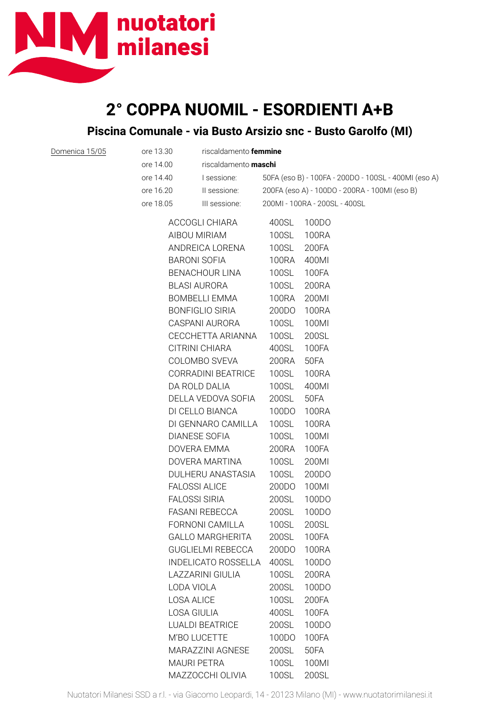

Domenica 15/05

## **2° COPPA NUOMIL - ESORDIENTI A+B Piscina Comunale - via Busto Arsizio snc - Busto Garolfo (MI)**

| ore 13.30 | riscaldamento femmine       |                                                      |                               |  |  |
|-----------|-----------------------------|------------------------------------------------------|-------------------------------|--|--|
| ore 14.00 | riscaldamento <b>maschi</b> |                                                      |                               |  |  |
| ore 14.40 | I sessione:                 | 50FA (eso B) - 100FA - 200DO - 100SL - 400MI (eso A) |                               |  |  |
| ore 16.20 | Il sessione:                | 200FA (eso A) - 100DO - 200RA - 100MI (eso B)        |                               |  |  |
| ore 18.05 | III sessione:               |                                                      | 200MI - 100RA - 200SL - 400SL |  |  |
|           | ACCOGLI CHIARA              | 400SL                                                | 100DO                         |  |  |
|           | AIBOU MIRIAM                | 100SL                                                | <b>100RA</b>                  |  |  |
|           | ANDREICA LORENA             | <b>100SL</b>                                         | 200FA                         |  |  |
|           | <b>BARONI SOFIA</b>         | 100RA                                                | 400MI                         |  |  |
|           | BENACHOUR LINA              |                                                      | 100FA                         |  |  |
|           | <b>BLASI AURORA</b>         | 100SL                                                | 200RA                         |  |  |
|           | BOMBELLI EMMA               | 100RA                                                | 200MI                         |  |  |
|           | <b>BONFIGLIO SIRIA</b>      | 200DO                                                | 100RA                         |  |  |
|           | CASPANI AURORA              | 100SL                                                | 100MI                         |  |  |
|           | CECCHETTA ARIANNA           | 100SL                                                | 200SL                         |  |  |
|           | CITRINI CHIARA              | 400SL                                                | 100FA                         |  |  |
|           | COLOMBO SVEVA               | 200RA                                                | 50FA                          |  |  |
|           | CORRADINI BEATRICE          | 100SL                                                | <b>100RA</b>                  |  |  |
|           | DA ROLD DALIA               | 100SL                                                | 400MI                         |  |  |
|           | DELLA VEDOVA SOFIA          | 200SL                                                | 50FA                          |  |  |
|           | DI CELLO BIANCA             | 100DO                                                | 100RA                         |  |  |
|           | DI GENNARO CAMILLA          | 100SL                                                | <b>100RA</b>                  |  |  |
|           | <b>DIANESE SOFIA</b>        | 100SL                                                | 100MI                         |  |  |
|           | DOVERA EMMA                 | 200RA                                                | 100FA                         |  |  |
|           | DOVERA MARTINA              | 100SL                                                | 200MI                         |  |  |
|           | DULHERU ANASTASIA           | 100SL                                                | 200DO                         |  |  |
|           | <b>FALOSSI ALICE</b>        | 200DO                                                | 100MI                         |  |  |
|           | <b>FALOSSI SIRIA</b>        | 200SL                                                | 100DO                         |  |  |
|           | <b>FASANI REBECCA</b>       | 200SL                                                | 100DO                         |  |  |
|           | FORNONI CAMILLA             | 100SL                                                | 200SL                         |  |  |
|           | <b>GALLO MARGHERITA</b>     | 200SL                                                | 100FA                         |  |  |
|           | <b>GUGLIELMI REBECCA</b>    | 200DO                                                | 100RA                         |  |  |
|           | <b>INDELICATO ROSSELLA</b>  | 400SL                                                | 100DO                         |  |  |
|           | LAZZARINI GIULIA            | 100SL                                                | 200RA                         |  |  |
|           | LODA VIOLA                  | 200SL                                                | 100DO                         |  |  |
|           | <b>LOSA ALICE</b>           | 100SL                                                | 200FA                         |  |  |
|           | <b>LOSA GIULIA</b>          | 400SL                                                | 100FA                         |  |  |
|           | <b>LUALDI BEATRICE</b>      | 200SL                                                | 100DO                         |  |  |
|           | M'BO LUCETTE                | 100DO                                                | 100FA                         |  |  |
|           | MARAZZINI AGNESE            | 200SL                                                | 50FA                          |  |  |

MAURI PETRA 100SL 100MI MAZZOCCHI OLIVIA 100SL 200SL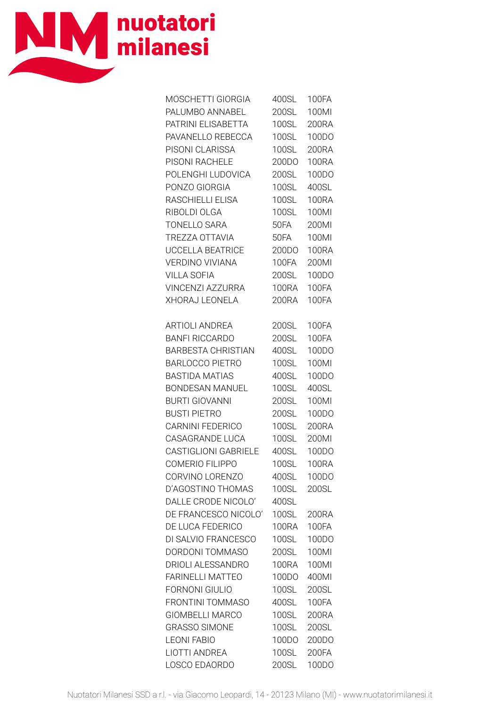

| MOSCHETTI GIORGIA           | 400SL        | <b>100FA</b> |
|-----------------------------|--------------|--------------|
| PALUMBO ANNABEL             | 200SL        | 100MI        |
| PATRINI ELISABETTA          | 100SL        | 200RA        |
| PAVANELLO REBECCA           | 100SL        | 100DO        |
| PISONI CLARISSA             | <b>100SL</b> | 200RA        |
| PISONI RACHELE              | 200DO        | <b>100RA</b> |
| POLENGHI LUDOVICA           | 200SL        | 100DO        |
| PONZO GIORGIA               | <b>100SL</b> | 400SL        |
| RASCHIELLI ELISA            | <b>100SL</b> | <b>100RA</b> |
| RIBOLDI OLGA                | <b>100SL</b> | 100MI        |
| <b>TONELLO SARA</b>         | <b>50FA</b>  | 200MI        |
| TREZZA OTTAVIA              | 50FA         | 100MI        |
| UCCELLA BEATRICE            | 200DO        | <b>100RA</b> |
| VERDINO VIVIANA             | <b>100FA</b> | 200MI        |
| <b>VILLA SOFIA</b>          | 200SL        | 100DO        |
| VINCENZI AZZURRA            | 100RA        | 100FA        |
| XHORAJ LEONELA              | 200RA        | <b>100FA</b> |
|                             |              |              |
| <b>ARTIOLI ANDREA</b>       | 200SL        | <b>100FA</b> |
| <b>BANFI RICCARDO</b>       | 200SL        | <b>100FA</b> |
| BARBESTA CHRISTIAN          | 400SL        | 100DO        |
| <b>BARLOCCO PIETRO</b>      | 100SL        | 100MI        |
| <b>BASTIDA MATIAS</b>       | 400SL        | 100DO        |
| BONDESAN MANUEL             | 100SL        | 400SL        |
| <b>BURTI GIOVANNI</b>       | 200SL        | 100MI        |
| <b>BUSTI PIETRO</b>         | 200SL        | 100DO        |
| CARNINI FEDERICO            | <b>100SL</b> | 200RA        |
| <b>CASAGRANDE LUCA</b>      | 100SL        | 200MI        |
| <b>CASTIGLIONI GABRIELE</b> | 400SL        | 100DO        |
| <b>COMERIO FILIPPO</b>      | 100SL        | <b>100RA</b> |
| CORVINO LORENZO             | 400SL        | 100DO        |
| D'AGOSTINO THOMAS           | 100SL        | 200SL        |
| DALLE CRODE NICOLO'         | 400SL        |              |
| DE FRANCESCO NICOLO'        | 100SL        | 200RA        |
| DE LUCA FEDERICO            | 100RA        | <b>100FA</b> |
| DI SALVIO FRANCESCO         | 100SL        | 100DO        |
| <b>DORDONI TOMMASO</b>      | 200SL        | 100Ml        |
| DRIOLI ALESSANDRO           | <b>100RA</b> | 100MI        |
| <b>FARINELLI MATTEO</b>     | 100DO        | 400MI        |
| <b>FORNONI GIULIO</b>       | 100SL        | 200SL        |
| <b>FRONTINI TOMMASO</b>     | 400SL        | <b>100FA</b> |
| <b>GIOMBELLI MARCO</b>      | 100SL        | 200RA        |
| <b>GRASSO SIMONE</b>        | 100SL        | 200SL        |
| <b>LEONI FABIO</b>          | 100DO        | 200DO        |
| <b>LIOTTI ANDREA</b>        | <b>100SL</b> | 200FA        |
| LOSCO EDAORDO               | 200SL        | 100DO        |